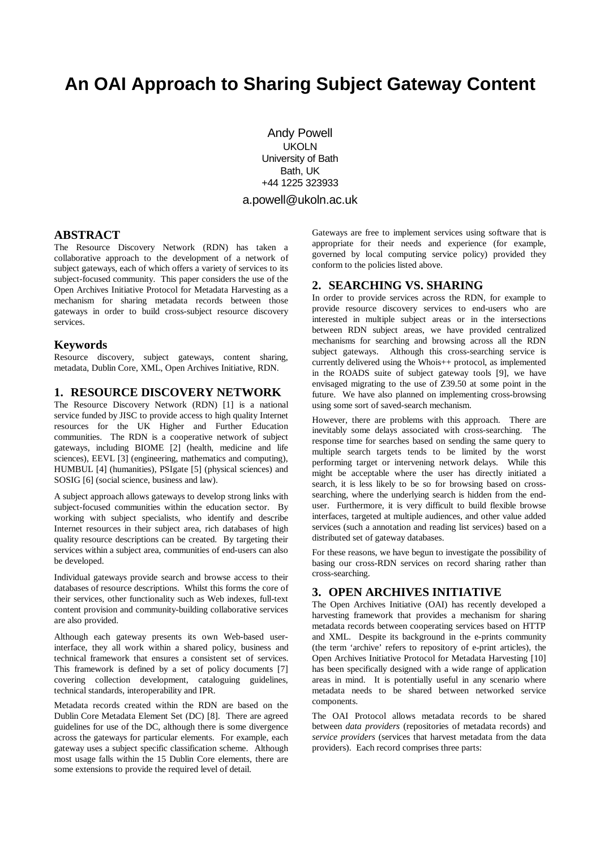# **An OAI Approach to Sharing Subject Gateway Content**

Andy Powell UKOLN University of Bath Bath, UK +44 1225 323933 a.powell@ukoln.ac.uk

#### **ABSTRACT**

The Resource Discovery Network (RDN) has taken a collaborative approach to the development of a network of subject gateways, each of which offers a variety of services to its subject-focused community. This paper considers the use of the Open Archives Initiative Protocol for Metadata Harvesting as a mechanism for sharing metadata records between those gateways in order to build cross-subject resource discovery services.

#### **Keywords**

Resource discovery, subject gateways, content sharing, metadata, Dublin Core, XML, Open Archives Initiative, RDN.

## **1. RESOURCE DISCOVERY NETWORK**

The Resource Discovery Network (RDN) [1] is a national service funded by JISC to provide access to high quality Internet resources for the UK Higher and Further Education communities. The RDN is a cooperative network of subject gateways, including BIOME [2] (health, medicine and life sciences), EEVL [3] (engineering, mathematics and computing), HUMBUL [4] (humanities), PSIgate [5] (physical sciences) and SOSIG [6] (social science, business and law).

A subject approach allows gateways to develop strong links with subject-focused communities within the education sector. By working with subject specialists, who identify and describe Internet resources in their subject area, rich databases of high quality resource descriptions can be created. By targeting their services within a subject area, communities of end-users can also be developed.

Individual gateways provide search and browse access to their databases of resource descriptions. Whilst this forms the core of their services, other functionality such as Web indexes, full-text content provision and community-building collaborative services are also provided.

Although each gateway presents its own Web-based userinterface, they all work within a shared policy, business and technical framework that ensures a consistent set of services. This framework is defined by a set of policy documents [7] covering collection development, cataloguing guidelines, technical standards, interoperability and IPR.

Metadata records created within the RDN are based on the Dublin Core Metadata Element Set (DC) [8]. There are agreed guidelines for use of the DC, although there is some divergence across the gateways for particular elements. For example, each gateway uses a subject specific classification scheme. Although most usage falls within the 15 Dublin Core elements, there are some extensions to provide the required level of detail.

Gateways are free to implement services using software that is appropriate for their needs and experience (for example, governed by local computing service policy) provided they conform to the policies listed above.

## **2. SEARCHING VS. SHARING**

In order to provide services across the RDN, for example to provide resource discovery services to end-users who are interested in multiple subject areas or in the intersections between RDN subject areas, we have provided centralized mechanisms for searching and browsing across all the RDN subject gateways. Although this cross-searching service is currently delivered using the Whois++ protocol, as implemented in the ROADS suite of subject gateway tools [9], we have envisaged migrating to the use of Z39.50 at some point in the future. We have also planned on implementing cross-browsing using some sort of saved-search mechanism.

However, there are problems with this approach. There are inevitably some delays associated with cross-searching. The response time for searches based on sending the same query to multiple search targets tends to be limited by the worst performing target or intervening network delays. While this might be acceptable where the user has directly initiated a search, it is less likely to be so for browsing based on crosssearching, where the underlying search is hidden from the enduser. Furthermore, it is very difficult to build flexible browse interfaces, targeted at multiple audiences, and other value added services (such a annotation and reading list services) based on a distributed set of gateway databases.

For these reasons, we have begun to investigate the possibility of basing our cross-RDN services on record sharing rather than cross-searching.

# **3. OPEN ARCHIVES INITIATIVE**

The Open Archives Initiative (OAI) has recently developed a harvesting framework that provides a mechanism for sharing metadata records between cooperating services based on HTTP and XML. Despite its background in the e-prints community (the term 'archive' refers to repository of e-print articles), the Open Archives Initiative Protocol for Metadata Harvesting [10] has been specifically designed with a wide range of application areas in mind. It is potentially useful in any scenario where metadata needs to be shared between networked service components.

The OAI Protocol allows metadata records to be shared between *data providers* (repositories of metadata records) and *service providers* (services that harvest metadata from the data providers). Each record comprises three parts: